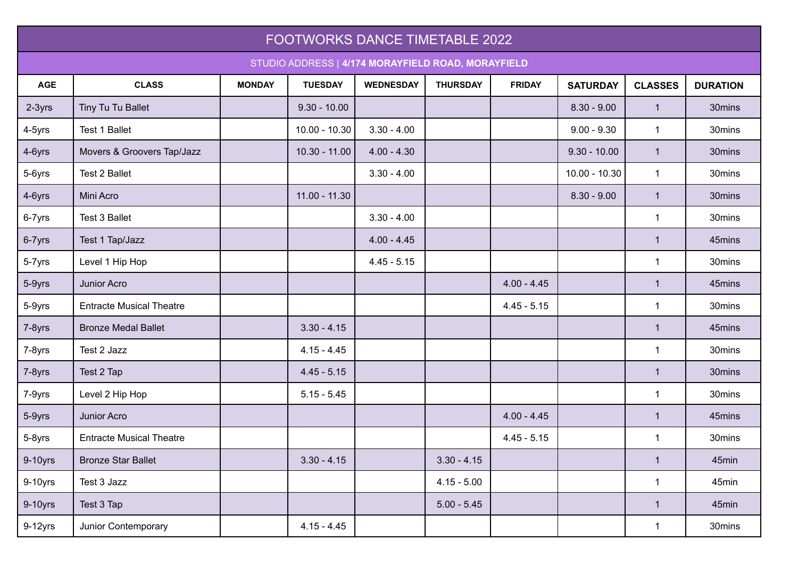| FOOTWORKS DANCE TIMETABLE 2022                     |                                 |               |                 |                  |                 |               |                 |                |                 |
|----------------------------------------------------|---------------------------------|---------------|-----------------|------------------|-----------------|---------------|-----------------|----------------|-----------------|
| STUDIO ADDRESS   4/174 MORAYFIELD ROAD, MORAYFIELD |                                 |               |                 |                  |                 |               |                 |                |                 |
| <b>AGE</b>                                         | <b>CLASS</b>                    | <b>MONDAY</b> | <b>TUESDAY</b>  | <b>WEDNESDAY</b> | <b>THURSDAY</b> | <b>FRIDAY</b> | <b>SATURDAY</b> | <b>CLASSES</b> | <b>DURATION</b> |
| 2-3yrs                                             | Tiny Tu Tu Ballet               |               | $9.30 - 10.00$  |                  |                 |               | $8.30 - 9.00$   | $\mathbf{1}$   | 30mins          |
| 4-5yrs                                             | Test 1 Ballet                   |               | $10.00 - 10.30$ | $3.30 - 4.00$    |                 |               | $9.00 - 9.30$   | $\mathbf{1}$   | 30mins          |
| 4-6yrs                                             | Movers & Groovers Tap/Jazz      |               | $10.30 - 11.00$ | $4.00 - 4.30$    |                 |               | $9.30 - 10.00$  | $\mathbf{1}$   | 30mins          |
| 5-6yrs                                             | <b>Test 2 Ballet</b>            |               |                 | $3.30 - 4.00$    |                 |               | $10.00 - 10.30$ | $\mathbf{1}$   | 30mins          |
| 4-6yrs                                             | Mini Acro                       |               | $11.00 - 11.30$ |                  |                 |               | $8.30 - 9.00$   | $\mathbf{1}$   | 30mins          |
| 6-7yrs                                             | Test 3 Ballet                   |               |                 | $3.30 - 4.00$    |                 |               |                 | $\mathbf{1}$   | 30mins          |
| 6-7yrs                                             | Test 1 Tap/Jazz                 |               |                 | $4.00 - 4.45$    |                 |               |                 | $\mathbf{1}$   | 45mins          |
| 5-7yrs                                             | Level 1 Hip Hop                 |               |                 | $4.45 - 5.15$    |                 |               |                 | 1              | 30mins          |
| 5-9yrs                                             | Junior Acro                     |               |                 |                  |                 | $4.00 - 4.45$ |                 | $\mathbf 1$    | 45mins          |
| 5-9yrs                                             | <b>Entracte Musical Theatre</b> |               |                 |                  |                 | $4.45 - 5.15$ |                 | $\mathbf{1}$   | 30mins          |
| 7-8yrs                                             | <b>Bronze Medal Ballet</b>      |               | $3.30 - 4.15$   |                  |                 |               |                 | $\mathbf{1}$   | 45mins          |
| 7-8yrs                                             | Test 2 Jazz                     |               | $4.15 - 4.45$   |                  |                 |               |                 | $\mathbf{1}$   | 30mins          |
| 7-8yrs                                             | Test 2 Tap                      |               | $4.45 - 5.15$   |                  |                 |               |                 | $\mathbf{1}$   | 30mins          |
| 7-9yrs                                             | Level 2 Hip Hop                 |               | $5.15 - 5.45$   |                  |                 |               |                 | $\mathbf{1}$   | 30mins          |
| 5-9yrs                                             | Junior Acro                     |               |                 |                  |                 | $4.00 - 4.45$ |                 | $\mathbf{1}$   | 45mins          |
| 5-8yrs                                             | <b>Entracte Musical Theatre</b> |               |                 |                  |                 | $4.45 - 5.15$ |                 | 1              | 30mins          |
| 9-10yrs                                            | <b>Bronze Star Ballet</b>       |               | $3.30 - 4.15$   |                  | $3.30 - 4.15$   |               |                 | $\mathbf{1}$   | 45min           |
| 9-10yrs                                            | Test 3 Jazz                     |               |                 |                  | $4.15 - 5.00$   |               |                 | $\mathbf{1}$   | 45min           |
| 9-10yrs                                            | Test 3 Tap                      |               |                 |                  | $5.00 - 5.45$   |               |                 | $\mathbf{1}$   | 45min           |
| $9-12$ yrs                                         | Junior Contemporary             |               | $4.15 - 4.45$   |                  |                 |               |                 | $\mathbf{1}$   | 30mins          |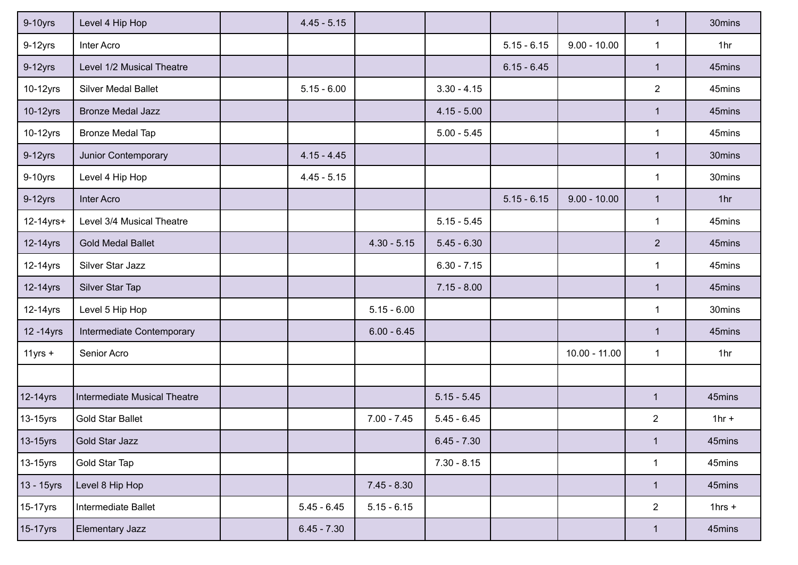| 9-10yrs     | Level 4 Hip Hop              | $4.45 - 5.15$ |               |               |               |                 | $\mathbf{1}$   | 30mins          |
|-------------|------------------------------|---------------|---------------|---------------|---------------|-----------------|----------------|-----------------|
| $9-12$ yrs  | Inter Acro                   |               |               |               | $5.15 - 6.15$ | $9.00 - 10.00$  | $\mathbf{1}$   | 1hr             |
| $9-12$ yrs  | Level 1/2 Musical Theatre    |               |               |               | $6.15 - 6.45$ |                 | $\mathbf{1}$   | 45mins          |
| 10-12yrs    | <b>Silver Medal Ballet</b>   | $5.15 - 6.00$ |               | $3.30 - 4.15$ |               |                 | $\overline{2}$ | 45mins          |
| 10-12yrs    | <b>Bronze Medal Jazz</b>     |               |               | $4.15 - 5.00$ |               |                 | $\mathbf{1}$   | 45mins          |
| 10-12yrs    | <b>Bronze Medal Tap</b>      |               |               | $5.00 - 5.45$ |               |                 | $\mathbf{1}$   | 45mins          |
| $9-12$ yrs  | Junior Contemporary          | $4.15 - 4.45$ |               |               |               |                 | $\mathbf{1}$   | 30mins          |
| $9-10$ yrs  | Level 4 Hip Hop              | $4.45 - 5.15$ |               |               |               |                 | 1              | 30mins          |
| $9-12$ yrs  | <b>Inter Acro</b>            |               |               |               | $5.15 - 6.15$ | $9.00 - 10.00$  | $\mathbf{1}$   | 1 <sub>hr</sub> |
| 12-14yrs+   | Level 3/4 Musical Theatre    |               |               | $5.15 - 5.45$ |               |                 | $\mathbf{1}$   | 45mins          |
| 12-14yrs    | <b>Gold Medal Ballet</b>     |               | $4.30 - 5.15$ | $5.45 - 6.30$ |               |                 | $\overline{2}$ | 45mins          |
| 12-14yrs    | Silver Star Jazz             |               |               | $6.30 - 7.15$ |               |                 | 1              | 45mins          |
| 12-14yrs    | Silver Star Tap              |               |               | $7.15 - 8.00$ |               |                 | $\mathbf{1}$   | 45mins          |
| 12-14yrs    | Level 5 Hip Hop              |               | $5.15 - 6.00$ |               |               |                 | $\mathbf{1}$   | 30mins          |
| 12 - 14 yrs | Intermediate Contemporary    |               | $6.00 - 6.45$ |               |               |                 | $\mathbf{1}$   | 45mins          |
| $11$ yrs +  | Senior Acro                  |               |               |               |               | $10.00 - 11.00$ | $\mathbf{1}$   | 1hr             |
|             |                              |               |               |               |               |                 |                |                 |
| 12-14yrs    | Intermediate Musical Theatre |               |               | $5.15 - 5.45$ |               |                 | $\mathbf{1}$   | 45mins          |
| 13-15yrs    | <b>Gold Star Ballet</b>      |               | $7.00 - 7.45$ | $5.45 - 6.45$ |               |                 | $\overline{c}$ | $1hr +$         |
| 13-15yrs    | Gold Star Jazz               |               |               | $6.45 - 7.30$ |               |                 | $\mathbf{1}$   | 45mins          |
| 13-15yrs    | Gold Star Tap                |               |               | $7.30 - 8.15$ |               |                 | 1              | 45mins          |
| 13 - 15yrs  | Level 8 Hip Hop              |               | $7.45 - 8.30$ |               |               |                 | $\mathbf{1}$   | 45mins          |
| 15-17yrs    | Intermediate Ballet          | $5.45 - 6.45$ | $5.15 - 6.15$ |               |               |                 | $\overline{2}$ | $1hrs +$        |
| 15-17yrs    | Elementary Jazz              | $6.45 - 7.30$ |               |               |               |                 | $\mathbf{1}$   | 45mins          |